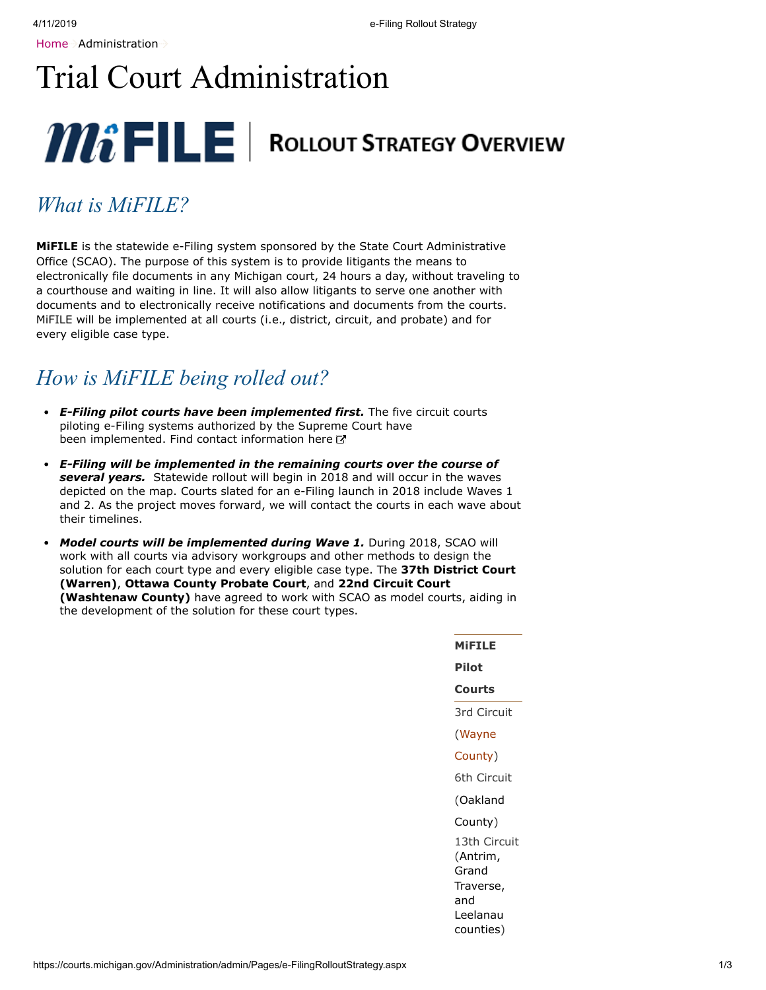# Trial Court Administration



## *What is MiFILE?*

**MiFILE** is the statewide e-Filing system sponsored by the State Court Administrative Office (SCAO). The purpose of this system is to provide litigants the means to electronically file documents in any Michigan court, 24 hours a day, without traveling to a courthouse and waiting in line. It will also allow litigants to serve one another with documents and to electronically receive notifications and documents from the courts. MiFILE will be implemented at all courts (i.e., district, circuit, and probate) and for every eligible case type.

## *How is MiFILE being rolled out?*

- *E-Filing pilot courts have been implemented first.* The five circuit courts piloting e-Filing systems authorized by the Supreme Court have been implemented. [Find contact information here](#page-0-0) C
- *E-Filing will be implemented in the remaining courts over the course of several years.* Statewide rollout will begin in 2018 and will occur in the waves depicted on the map. Courts slated for an e-Filing launch in 2018 include Waves 1 and 2. As the project moves forward, we will contact the courts in each wave about their timelines.
- *Model courts will be implemented during Wave 1.* During 2018, SCAO will work with all courts via advisory workgroups and other methods to design the solution for each court type and every eligible case type. The **37th District Court (Warren)**, **Ottawa County Probate Court**, and **22nd Circuit Court (Washtenaw County)** have agreed to work with SCAO as model courts, aiding in the development of the solution for these court types.

<span id="page-0-0"></span>**MiFILE Pilot Courts** 3rd Circuit (Wayne [County\)](https://www.3rdcc.org/efiling) 6th Circuit [\(Oakland](https://www.oakgov.com/clerkrod/Pages/efiling/default.aspx) County) 13th Circuit (Antrim, Grand Traverse, and Leelanau [counties\)](http://www.13thcircuitcourt.org/175/E-Filing)